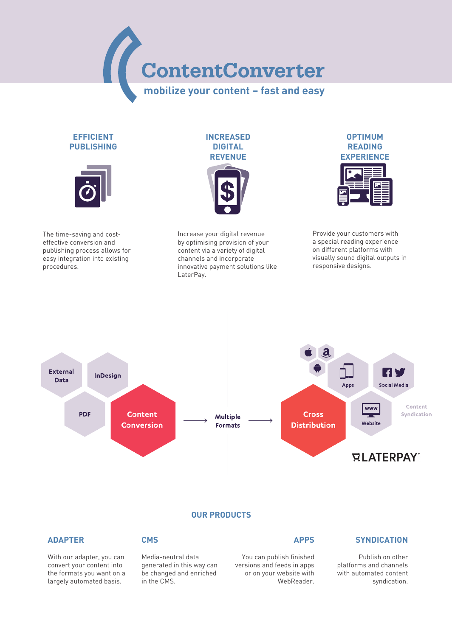ContentConverter **mobilize your content – fast and easy**

# **EFFICIENT PUBLISHING**



The time-saving and costeffective conversion and publishing process allows for easy integration into existing procedures.



Increase your digital revenue by optimising provision of your content via a variety of digital channels and incorporate innovative payment solutions like LaterPay.



Provide your customers with a special reading experience on different platforms with visually sound digital outputs in responsive designs.



### **OUR PRODUCTS**

# **ADAPTER**

# **CMS**

With our adapter, you can convert your content into the formats you want on a largely automated basis.

Media-neutral data generated in this way can be changed and enriched in the CMS.

# **APPS**

You can publish finished versions and feeds in apps or on your website with WebReader.

# **SYNDICATION**

Publish on other platforms and channels with automated content syndication.